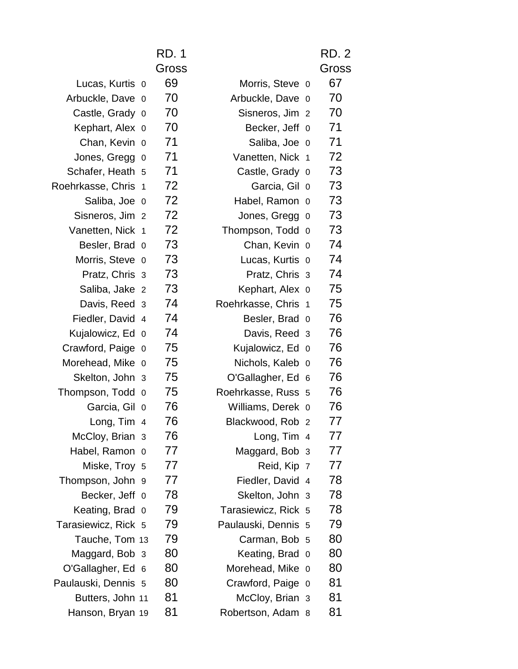|                     | <b>RD. 1</b><br>Gross |                     |                | <b>RD. 2</b><br>Gross |
|---------------------|-----------------------|---------------------|----------------|-----------------------|
| Lucas, Kurtis 0     | 69                    | Morris, Steve 0     |                | 67                    |
| Arbuckle, Dave 0    | 70                    | Arbuckle, Dave      | - 0            | 70                    |
| Castle, Grady 0     | 70                    | Sisneros, Jim 2     |                | 70                    |
| Kephart, Alex 0     | 70                    | Becker, Jeff 0      |                | 71                    |
| Chan, Kevin 0       | 71                    | Saliba, Joe 0       |                | 71                    |
| Jones, Gregg 0      | 71                    | Vanetten, Nick 1    |                | 72                    |
| Schafer, Heath 5    | 71                    | Castle, Grady 0     |                | 73                    |
| Roehrkasse, Chris 1 | 72                    | Garcia, Gil 0       |                | 73                    |
| Saliba, Joe 0       | 72                    | Habel, Ramon 0      |                | 73                    |
| Sisneros, Jim 2     | 72                    | Jones, Gregg        | $\overline{0}$ | 73                    |
| Vanetten, Nick 1    | 72                    | Thompson, Todd      | $\Omega$       | 73                    |
| Besler, Brad 0      | 73                    | Chan, Kevin 0       |                | 74                    |
| Morris, Steve 0     | 73                    | Lucas, Kurtis 0     |                | 74                    |
| Pratz, Chris 3      | 73                    | Pratz, Chris 3      |                | 74                    |
| Saliba, Jake 2      | 73                    | Kephart, Alex 0     |                | 75                    |
| Davis, Reed 3       | 74                    | Roehrkasse, Chris 1 |                | 75                    |
| Fiedler, David 4    | 74                    | Besler, Brad 0      |                | 76                    |
| Kujalowicz, Ed 0    | 74                    | Davis, Reed 3       |                | 76                    |
| Crawford, Paige 0   | 75                    | Kujalowicz, Ed 0    |                | 76                    |
| Morehead, Mike 0    | 75                    | Nichols, Kaleb 0    |                | 76                    |
| Skelton, John 3     | 75                    | O'Gallagher, Ed 6   |                | 76                    |
| Thompson, Todd 0    | 75                    | Roehrkasse, Russ 5  |                | 76                    |
| Garcia, Gil 0       | 76                    | Williams, Derek 0   |                | 76                    |
| Long, Tim 4         | 76                    | Blackwood, Rob 2    |                | 77                    |
| McCloy, Brian 3     | 76                    | Long, Tim 4         |                | 77                    |
| Habel, Ramon 0      | 77                    | Maggard, Bob 3      |                | 77                    |
| Miske, Troy 5       | 77                    | Reid, Kip 7         |                | 77                    |
| Thompson, John 9    | 77                    | Fiedler, David 4    |                | 78                    |
| Becker, Jeff 0      | 78                    | Skelton, John 3     |                | 78                    |
| Keating, Brad 0     | 79                    | Tarasiewicz, Rick 5 |                | 78                    |
| Tarasiewicz, Rick 5 | 79                    | Paulauski, Dennis 5 |                | 79                    |
| Tauche, Tom 13      | 79                    | Carman, Bob 5       |                | 80                    |
| Maggard, Bob 3      | 80                    | Keating, Brad 0     |                | 80                    |
| O'Gallagher, Ed 6   | 80                    | Morehead, Mike 0    |                | 80                    |
| Paulauski, Dennis 5 | 80                    | Crawford, Paige 0   |                | 81                    |
| Butters, John 11    | 81                    | McCloy, Brian 3     |                | 81                    |
| Hanson, Bryan 19    | 81                    | Robertson, Adam 8   |                | 81                    |

|                   |                | RD. 1        |
|-------------------|----------------|--------------|
|                   |                | <b>Gross</b> |
| Lucas, Kurtis     | 0              | 69           |
| Arbuckle, Dave    | 0              | 70           |
| Castle, Grady     | 0              | 70           |
| Kephart, Alex     | 0              | 70           |
| Chan, Kevin       | 0              | 71           |
| Jones, Gregg      | 0              | 71           |
| Schafer, Heath    | 5              | 71           |
| Roehrkasse, Chris | 1              | 72           |
| Saliba, Joe       | 0              | 72           |
| Sisneros, Jim     | $\overline{2}$ | 72           |
| Vanetten, Nick    | 1              | 72           |
| Besler, Brad      | 0              | 73           |
| Morris, Steve     | 0              | 73           |
| Pratz, Chris      | 3              | 73           |
| Saliba, Jake      | $\overline{2}$ | 73           |
| Davis, Reed       | 3              | 74           |
| Fiedler, David    | 4              | 74           |
| Kujalowicz, Ed    | 0              | 74           |
| Crawford, Paige   | $\overline{0}$ | 75           |
| Morehead, Mike    | 0              | 75           |
| Skelton, John     | 3              | 75           |
| Thompson, Todd    | 0              | 75           |
| Garcia, Gil       | 0              | 76           |
| Long, Tim         | 4              | 76           |
| McCloy, Brian     | 3              | 76           |
| Habel, Ramon      | 0              | 77           |
| Miske, Troy       | 5              | 77           |
| Thompson, John    | 9              | 77           |
| Becker, Jeff      | 0              | 78           |
| Keating, Brad     | 0              | 79           |
| Tarasiewicz, Rick | 5              | 79           |
| Tauche, Tom       | 13             | 79           |
| Maggard, Bob      | 3              | 80           |
| O'Gallagher, Ed   | 6              | 80           |
| Paulauski, Dennis | 5              | 80           |
| Butters, John     | 11             | 81           |
| Hanson, Bryan     | 19             | 81           |
|                   |                |              |